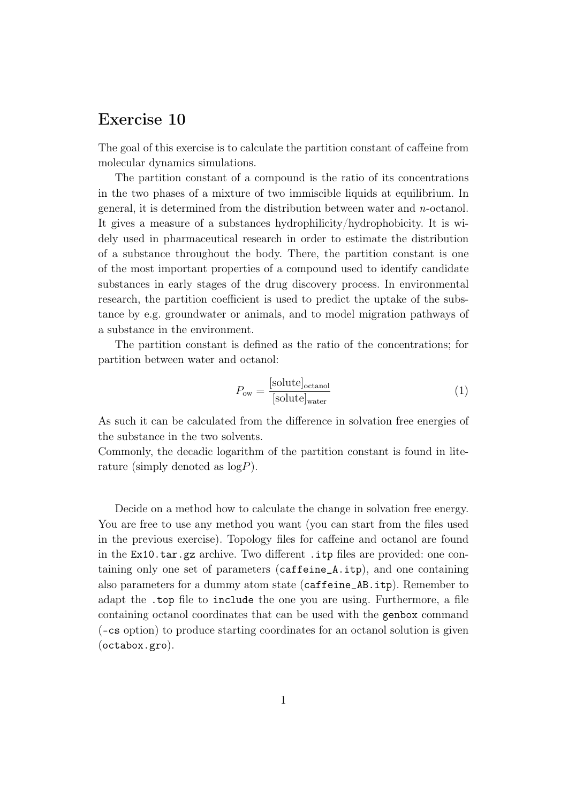## Exercise 10

The goal of this exercise is to calculate the partition constant of caffeine from molecular dynamics simulations.

The partition constant of a compound is the ratio of its concentrations in the two phases of a mixture of two immiscible liquids at equilibrium. In general, it is determined from the distribution between water and n-octanol. It gives a measure of a substances hydrophilicity/hydrophobicity. It is widely used in pharmaceutical research in order to estimate the distribution of a substance throughout the body. There, the partition constant is one of the most important properties of a compound used to identify candidate substances in early stages of the drug discovery process. In environmental research, the partition coefficient is used to predict the uptake of the substance by e.g. groundwater or animals, and to model migration pathways of a substance in the environment.

The partition constant is defined as the ratio of the concentrations; for partition between water and octanol:

$$
P_{\text{ow}} = \frac{[\text{solute}]_{\text{octanol}}}{[\text{solute}]_{\text{water}}} \tag{1}
$$

As such it can be calculated from the difference in solvation free energies of the substance in the two solvents.

Commonly, the decadic logarithm of the partition constant is found in literature (simply denoted as  $log P$ ).

Decide on a method how to calculate the change in solvation free energy. You are free to use any method you want (you can start from the files used in the previous exercise). Topology files for caffeine and octanol are found in the Ex10.tar.gz archive. Two different .itp files are provided: one containing only one set of parameters (caffeine\_A.itp), and one containing also parameters for a dummy atom state (caffeine\_AB.itp). Remember to adapt the .top file to include the one you are using. Furthermore, a file containing octanol coordinates that can be used with the genbox command (-cs option) to produce starting coordinates for an octanol solution is given (octabox.gro).